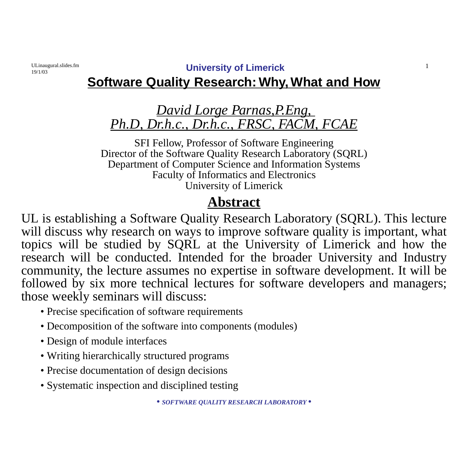19/1/03

ULinaugural.slides.fm **University of Limerick** 1

### **Software Quality Research: Why, What and How**

### *David Lorge Parnas,P.Eng, Ph.D, Dr.h.c., Dr.h.c., FRSC, FACM, FCAE*

SFI Fellow, Professor of Software Engineering Director of the Software Quality Research Laboratory (SQRL) Department of Computer Science and Information Systems Faculty of Informatics and Electronics University of Limerick

### **Abstract**

UL is establishing a Software Quality Research Laboratory (SQRL). This lecture will discuss why research on ways to improve software quality is important, what topics will be studied by SQRL at the University of Limerick and how the research will be conducted. Intended for the broader University and Industry community, the lecture assumes no expertise in software development. It will be followed by six more technical lectures for software developers and managers; those weekly seminars will discuss:

- Precise specification of software requirements
- Decomposition of the software into components (modules)
- Design of module interfaces
- Writing hierarchically structured programs
- Precise documentation of design decisions
- Systematic inspection and disciplined testing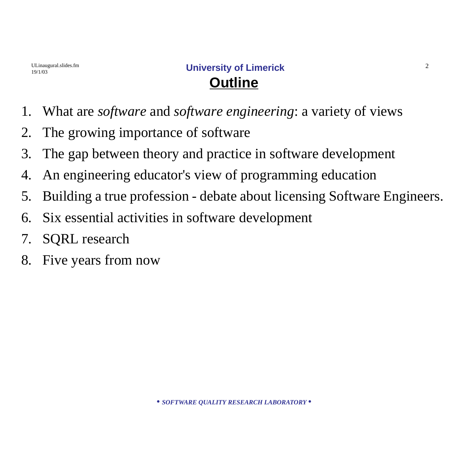- 1. What are *software* and *software engineering*: a variety of views
- 2. The growing importance of software
- 3. The gap between theory and practice in software development
- 4. An engineering educator's view of programming education
- 5. Building a true profession debate about licensing Software Engineers.
- 6. Six essential activities in software development
- 7. SQRL research
- 8. Five years from now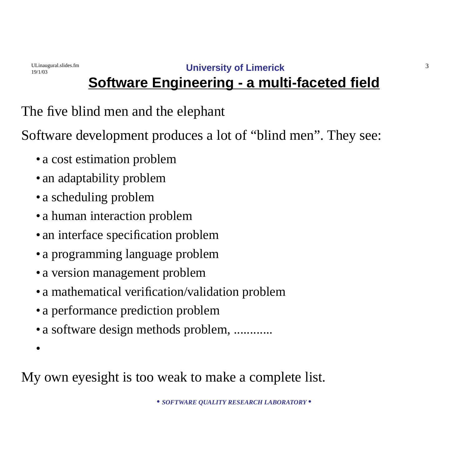19/1/03

•

ULinaugural.slides.fm **University of Limerick** 3

# **Software Engineering - a multi-faceted field**

The five blind men and the elephant

Software development produces a lot of "blind men". They see:

- a cost estimation problem
- an adaptability problem
- a scheduling problem
- a human interaction problem
- an interface specification problem
- a programming language problem
- a version management problem
- a mathematical verification/validation problem
- a performance prediction problem
- a software design methods problem, ............

My own eyesight is too weak to make a complete list.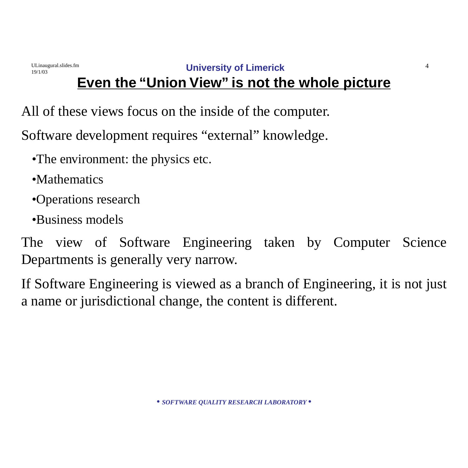All of these views focus on the inside of the computer.

Software development requires "external" knowledge.

- •The environment: the physics etc.
- •Mathematics

19/1/03

- •Operations research
- •Business models

The view of Software Engineering taken by Computer Science Departments is generally very narrow.

If Software Engineering is viewed as a branch of Engineering, it is not just a name or jurisdictional change, the content is different.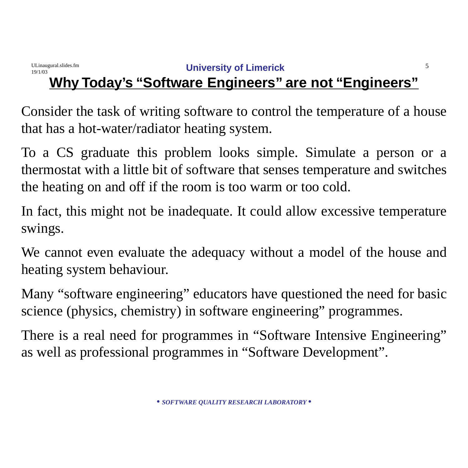#### ULinaugural.slides.fm **University of Limerick** 5 19/1/03 **Why Today's "Software Engineers" are not "Engineers"**

Consider the task of writing software to control the temperature of a house that has a hot-water/radiator heating system.

To a CS graduate this problem looks simple. Simulate a person or a thermostat with a little bit of software that senses temperature and switches the heating on and off if the room is too warm or too cold.

In fact, this might not be inadequate. It could allow excessive temperature swings.

We cannot even evaluate the adequacy without a model of the house and heating system behaviour.

Many "software engineering" educators have questioned the need for basic science (physics, chemistry) in software engineering" programmes.

There is a real need for programmes in "Software Intensive Engineering" as well as professional programmes in "Software Development".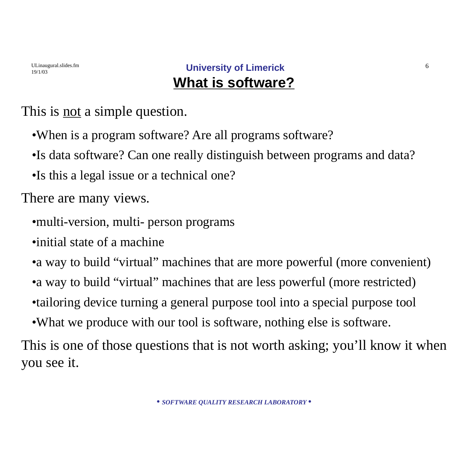This is <u>not</u> a simple question.

- •When is a program software? Are all programs software?
- •Is data software? Can one really distinguish between programs and data?

•Is this a legal issue or a technical one?

There are many views.

- •multi-version, multi- person programs
- •initial state of a machine
- a way to build "virtual" machines that are more powerful (more convenient)
- a way to build "virtual" machines that are less powerful (more restricted)
- •tailoring device turning a general purpose tool into a special purpose tool
- •What we produce with our tool is software, nothing else is software.

This is one of those questions that is not worth asking; you'll know it when you see it.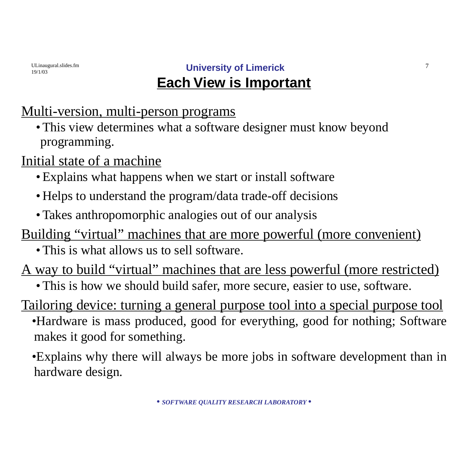### ULinaugural.slides.fm **University of Limerick** 7 **Each View is Important**

### Multi-version, multi-person programs

•This view determines what a software designer must know beyond programming.

Initial state of a machine

- •Explains what happens when we start or install software
- •Helps to understand the program/data trade-off decisions
- Takes anthropomorphic analogies out of our analysis
- Building "virtual" machines that are more powerful (more convenient)
	- This is what allows us to sell software.

A way to build "virtual" machines that are less powerful (more restricted)

• This is how we should build safer, more secure, easier to use, software.

Tailoring device: turning a general purpose tool into a special purpose tool

- •Hardware is mass produced, good for everything, good for nothing; Software makes it good for something.
- •Explains why there will always be more jobs in software development than in hardware design.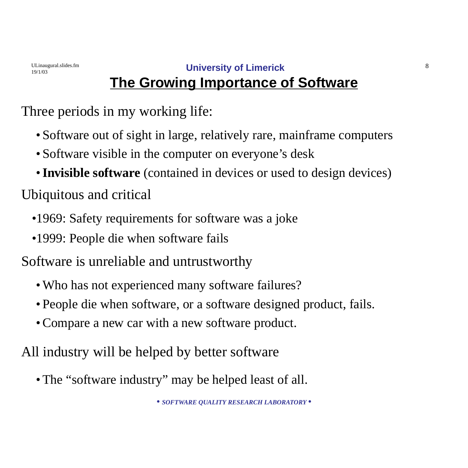19/1/03

# **The Growing Importance of Software**

Three periods in my working life:

- Software out of sight in large, relatively rare, mainframe computers
- Software visible in the computer on everyone's desk
- •**Invisible software** (contained in devices or used to design devices)

Ubiquitous and critical

- •1969: Safety requirements for software was a joke
- •1999: People die when software fails

Software is unreliable and untrustworthy

- Who has not experienced many software failures?
- People die when software, or a software designed product, fails.
- •Compare a new car with a new software product.

All industry will be helped by better software

• The "software industry" may be helped least of all.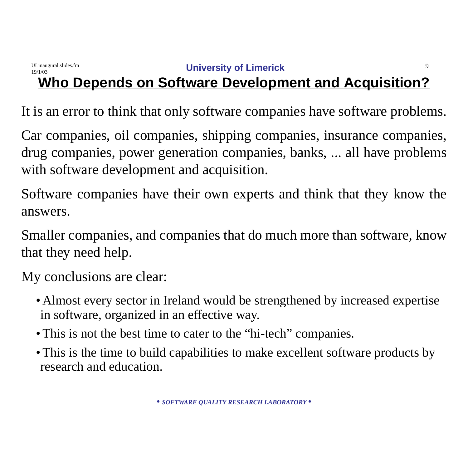It is an error to think that only software companies have software problems.

Car companies, oil companies, shipping companies, insurance companies, drug companies, power generation companies, banks, ... all have problems with software development and acquisition.

Software companies have their own experts and think that they know the answers.

Smaller companies, and companies that do much more than software, know that they need help.

My conclusions are clear:

- Almost every sector in Ireland would be strengthened by increased expertise in software, organized in an effective way.
- This is not the best time to cater to the "hi-tech" companies.
- •This is the time to build capabilities to make excellent software products by research and education.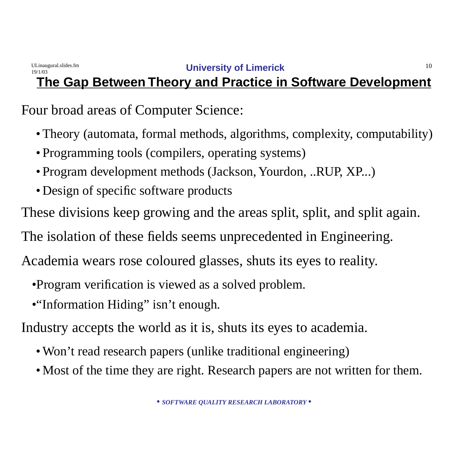### **The Gap Between Theory and Practice in Software Development**

Four broad areas of Computer Science:

- Theory (automata, formal methods, algorithms, complexity, computability)
- Programming tools (compilers, operating systems)
- Program development methods (Jackson, Yourdon, ..RUP, XP...)
- Design of specific software products

These divisions keep growing and the areas split, split, and split again.

The isolation of these fields seems unprecedented in Engineering.

Academia wears rose coloured glasses, shuts its eyes to reality.

- •Program verification is viewed as a solved problem.
- •"Information Hiding" isn't enough.

Industry accepts the world as it is, shuts its eyes to academia.

- Won't read research papers (unlike traditional engineering)
- Most of the time they are right. Research papers are not written for them.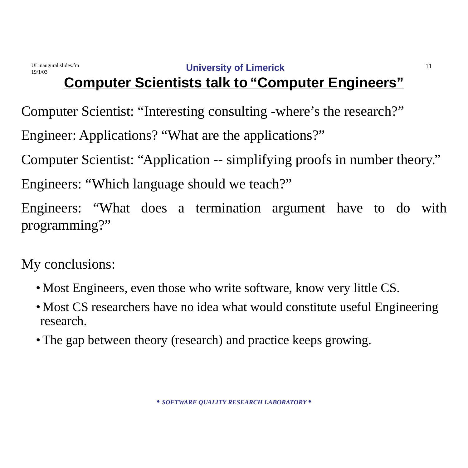# **Computer Scientists talk to "Computer Engineers"**

Computer Scientist: "Interesting consulting -where's the research?"

Engineer: Applications? "What are the applications?"

Computer Scientist: "Application -- simplifying proofs in number theory."

Engineers: "Which language should we teach?"

Engineers: "What does a termination argument have to do with programming?"

My conclusions:

- Most Engineers, even those who write software, know very little CS.
- Most CS researchers have no idea what would constitute useful Engineering research.
- The gap between theory (research) and practice keeps growing.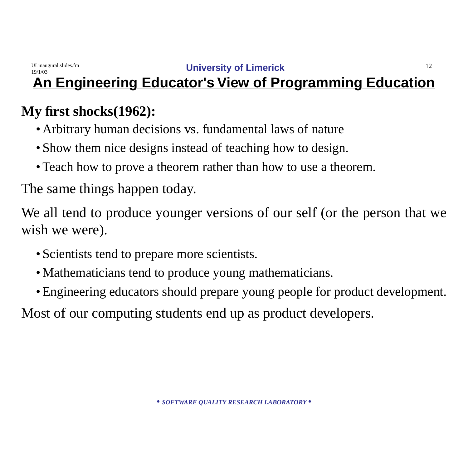#### ULinaugural.slides.fm **University of Limerick** 12 19/1/03 **An Engineering Educator's View of Programming Education**

# **My first shocks(1962):**

- Arbitrary human decisions vs. fundamental laws of nature
- Show them nice designs instead of teaching how to design.
- Teach how to prove a theorem rather than how to use a theorem.

The same things happen today.

We all tend to produce younger versions of our self (or the person that we wish we were).

- Scientists tend to prepare more scientists.
- Mathematicians tend to produce young mathematicians.
- •Engineering educators should prepare young people for product development.

Most of our computing students end up as product developers.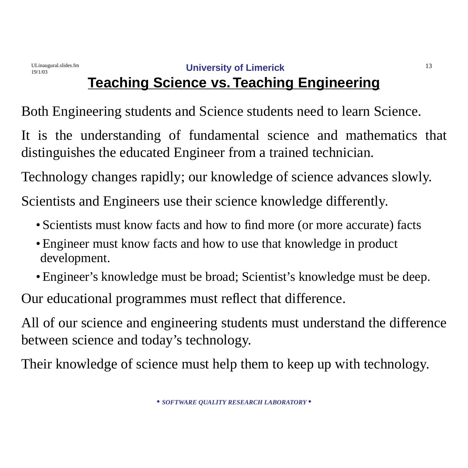# **Teaching Science vs.Teaching Engineering**

Both Engineering students and Science students need to learn Science.

It is the understanding of fundamental science and mathematics that distinguishes the educated Engineer from a trained technician.

Technology changes rapidly; our knowledge of science advances slowly.

Scientists and Engineers use their science knowledge differently.

- Scientists must know facts and how to find more (or more accurate) facts
- Engineer must know facts and how to use that knowledge in product development.
- •Engineer's knowledge must be broad; Scientist's knowledge must be deep.

Our educational programmes must reflect that difference.

All of our science and engineering students must understand the difference between science and today's technology.

Their knowledge of science must help them to keep up with technology.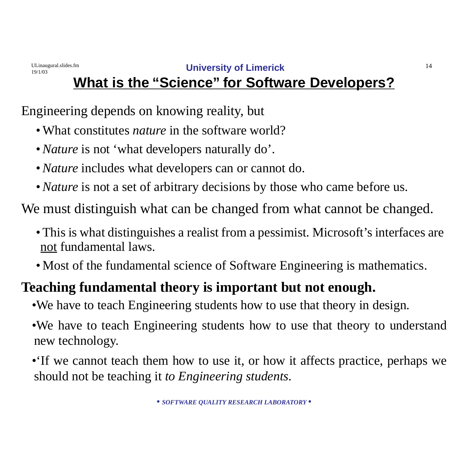### ULinaugural.slides.fm **University of Limerick** 14 **What is the "Science" for Software Developers?**

Engineering depends on knowing reality, but

19/1/03

- •What constitutes *nature* in the software world?
- •*Nature* is not 'what developers naturally do'.
- •*Nature* includes what developers can or cannot do.
- •*Nature* is not a set of arbitrary decisions by those who came before us.

We must distinguish what can be changed from what cannot be changed.

- This is what distinguishes a realist from a pessimist. Microsoft's interfaces are not fundamental laws.
- Most of the fundamental science of Software Engineering is mathematics.

# **Teaching fundamental theory is important but not enough.**

- •We have to teach Engineering students how to use that theory in design.
- •We have to teach Engineering students how to use that theory to understand new technology.
- •'If we cannot teach them how to use it, or how it affects practice, perhaps we should not be teaching it *to Engineering students*.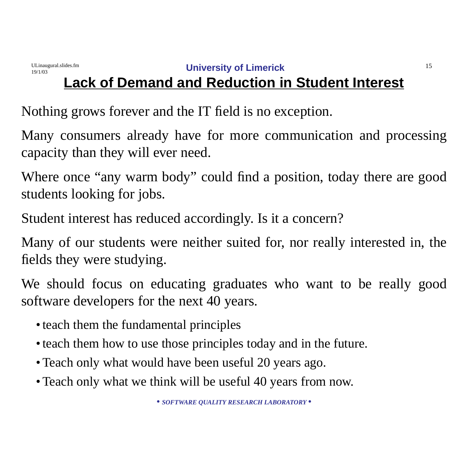# **Lack of Demand and Reduction in Student Interest**

Nothing grows forever and the IT field is no exception.

Many consumers already have for more communication and processing capacity than they will ever need.

Where once "any warm body" could find a position, today there are good students looking for jobs.

Student interest has reduced accordingly. Is it a concern?

Many of our students were neither suited for, nor really interested in, the fields they were studying.

We should focus on educating graduates who want to be really good software developers for the next 40 years.

- teach them the fundamental principles
- teach them how to use those principles today and in the future.
- Teach only what would have been useful 20 years ago.
- Teach only what we think will be useful 40 years from now.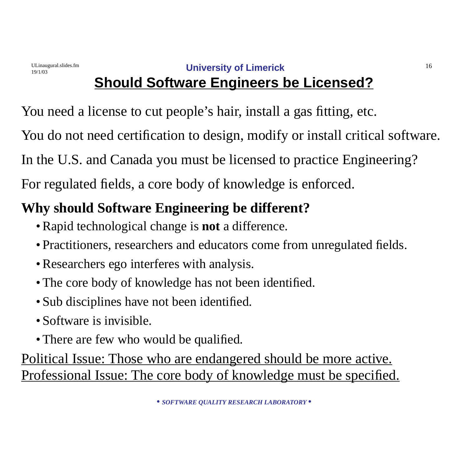# **Should Software Engineers be Licensed?**

You need a license to cut people's hair, install a gas fitting, etc.

You do not need certification to design, modify or install critical software.

In the U.S. and Canada you must be licensed to practice Engineering?

For regulated fields, a core body of knowledge is enforced.

# **Why should Software Engineering be different?**

- •Rapid technological change is **not** a difference.
- Practitioners, researchers and educators come from unregulated fields.
- •Researchers ego interferes with analysis.
- The core body of knowledge has not been identified.
- Sub disciplines have not been identified.
- Software is invisible.
- There are few who would be qualified.

Political Issue: Those who are endangered should be more active. Professional Issue: The core body of knowledge must be specified.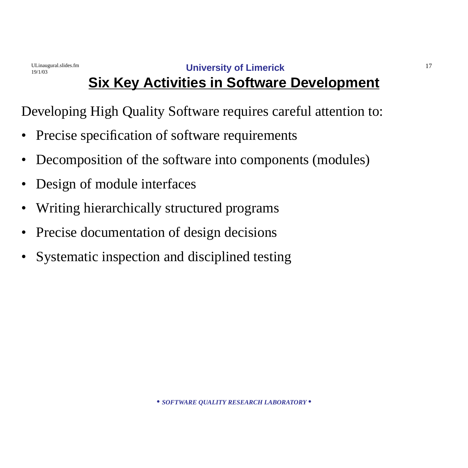# **Six Key Activities in Software Development**

Developing High Quality Software requires careful attention to:

- Precise specification of software requirements
- Decomposition of the software into components (modules)
- Design of module interfaces
- Writing hierarchically structured programs
- Precise documentation of design decisions
- Systematic inspection and disciplined testing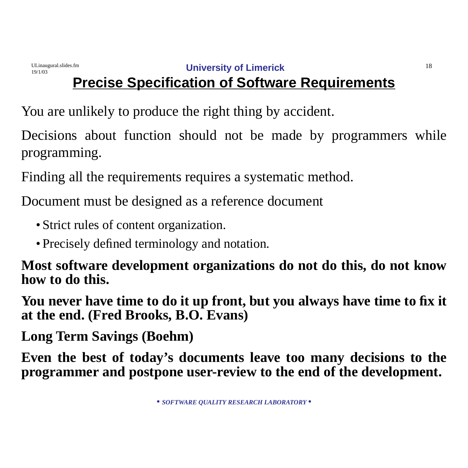# **Precise Specification of Software Requirements**

You are unlikely to produce the right thing by accident.

Decisions about function should not be made by programmers while programming.

Finding all the requirements requires a systematic method.

Document must be designed as a reference document

- Strict rules of content organization.
- Precisely defined terminology and notation.

**Most software development organizations do not do this, do not know how to do this.** 

**You never have time to do it up front, but you always have time to fix it at the end. (Fred Brooks, B.O. Evans)**

**Long Term Savings (Boehm)**

**Even the best of today's documents leave too many decisions to the programmer and postpone user-review to the end of the development.**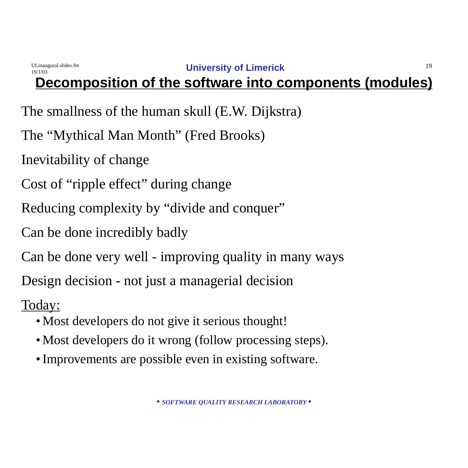

# **Decomposition of the software into components (modules)**

The smallness of the human skull (E.W. Dijkstra)

The "Mythical Man Month" (Fred Brooks)

Inevitability of change

Cost of "ripple effect" during change

Reducing complexity by "divide and conquer"

Can be done incredibly badly

Can be done very well - improving quality in many ways

Design decision - not just a managerial decision

- •Most developers do not give it serious thought!
- Most developers do it wrong (follow processing steps).
- Improvements are possible even in existing software.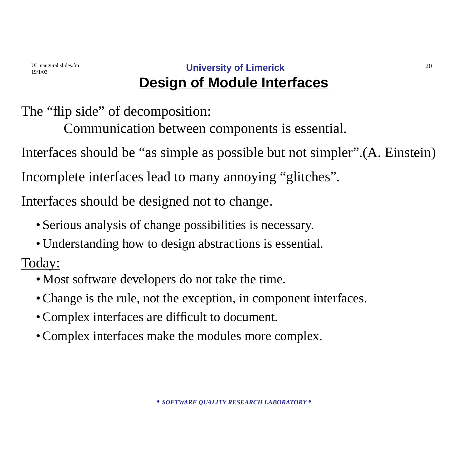### ULinaugural.slides.fm **University of Limerick** 20 **Design of Module Interfaces**

The "flip side" of decomposition:

Communication between components is essential.

Interfaces should be "as simple as possible but not simpler".(A. Einstein)

Incomplete interfaces lead to many annoying "glitches".

Interfaces should be designed not to change.

- Serious analysis of change possibilities is necessary.
- •Understanding how to design abstractions is essential.

- •Most software developers do not take the time.
- •Change is the rule, not the exception, in component interfaces.
- •Complex interfaces are difficult to document.
- •Complex interfaces make the modules more complex.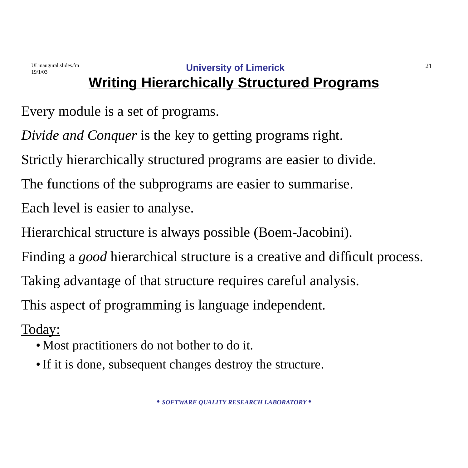# **Writing Hierarchically Structured Programs**

Every module is a set of programs.

*Divide and Conquer* is the key to getting programs right.

Strictly hierarchically structured programs are easier to divide.

The functions of the subprograms are easier to summarise.

Each level is easier to analyse.

Hierarchical structure is always possible (Boem-Jacobini).

Finding a *good* hierarchical structure is a creative and difficult process.

Taking advantage of that structure requires careful analysis.

This aspect of programming is language independent.

- •Most practitioners do not bother to do it.
- If it is done, subsequent changes destroy the structure.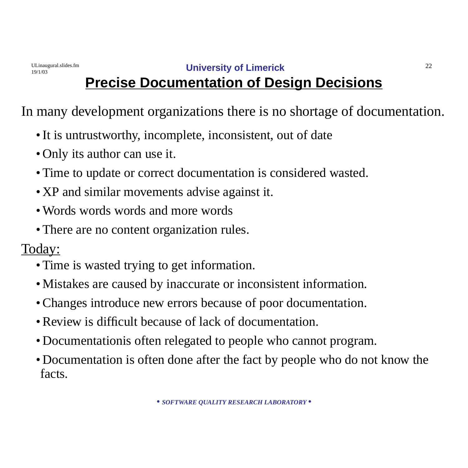### ULinaugural.slides.fm **University of Limerick** 22 **Precise Documentation of Design Decisions**

In many development organizations there is no shortage of documentation.

- •It is untrustworthy, incomplete, inconsistent, out of date
- Only its author can use it.
- Time to update or correct documentation is considered wasted.
- •XP and similar movements advise against it.
- Words words words and more words
- There are no content organization rules.

- Time is wasted trying to get information.
- •Mistakes are caused by inaccurate or inconsistent information.
- •Changes introduce new errors because of poor documentation.
- Review is difficult because of lack of documentation.
- •Documentationis often relegated to people who cannot program.
- •Documentation is often done after the fact by people who do not know the facts.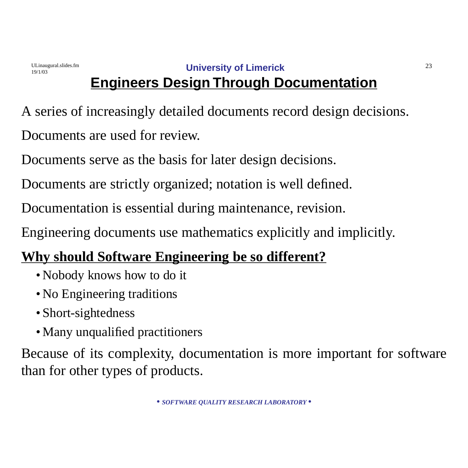### ULinaugural.slides.fm **University of Limerick** 23 **Engineers Design Through Documentation**

A series of increasingly detailed documents record design decisions. Documents are used for review.

Documents serve as the basis for later design decisions.

Documents are strictly organized; notation is well defined.

Documentation is essential during maintenance, revision.

Engineering documents use mathematics explicitly and implicitly.

# **Why should Software Engineering be so different?**

- •Nobody knows how to do it
- No Engineering traditions
- Short-sightedness
- Many unqualified practitioners

Because of its complexity, documentation is more important for software than for other types of products.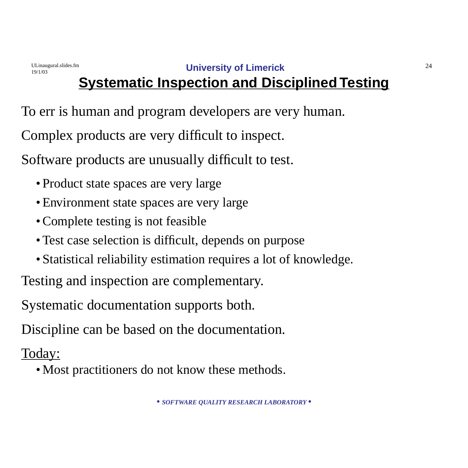# **Systematic Inspection and Disciplined Testing**

To err is human and program developers are very human.

Complex products are very difficult to inspect.

Software products are unusually difficult to test.

- Product state spaces are very large
- Environment state spaces are very large
- Complete testing is not feasible
- Test case selection is difficult, depends on purpose
- Statistical reliability estimation requires a lot of knowledge.

Testing and inspection are complementary.

Systematic documentation supports both.

Discipline can be based on the documentation.

Today:

•Most practitioners do not know these methods.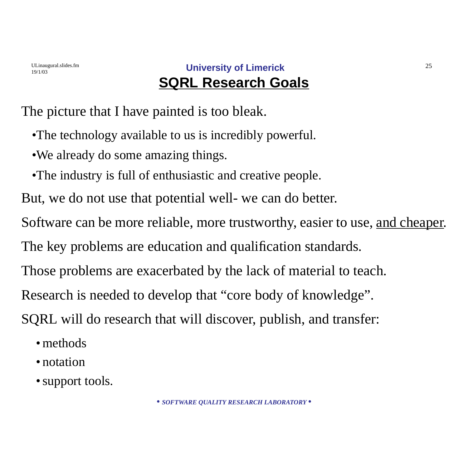### ULinaugural.slides.fm **University of Limerick** 25 **SQRL Research Goals**

The picture that I have painted is too bleak.

- •The technology available to us is incredibly powerful.
- •We already do some amazing things.
- •The industry is full of enthusiastic and creative people.

But, we do not use that potential well- we can do better.

Software can be more reliable, more trustworthy, easier to use, <u>and cheaper</u>.

The key problems are education and qualification standards.

Those problems are exacerbated by the lack of material to teach.

Research is needed to develop that "core body of knowledge".

SQRL will do research that will discover, publish, and transfer:

- methods
- notation
- support tools.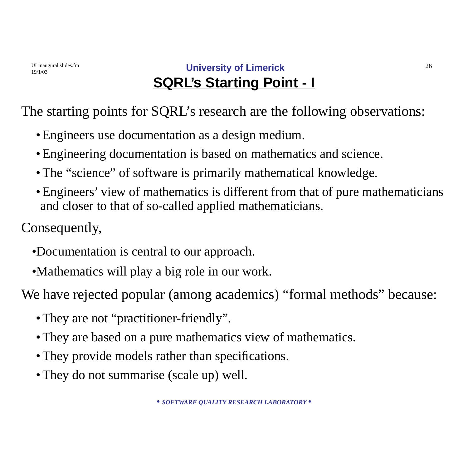### ULinaugural.slides.fm **University of Limerick** 26 **SQRL's Starting Point - I**

The starting points for SQRL's research are the following observations:

- •Engineers use documentation as a design medium.
- •Engineering documentation is based on mathematics and science.
- The "science" of software is primarily mathematical knowledge.
- •Engineers' view of mathematics is different from that of pure mathematicians and closer to that of so-called applied mathematicians.

Consequently,

- •Documentation is central to our approach.
- •Mathematics will play a big role in our work.

We have rejected popular (among academics) "formal methods" because:

- They are not "practitioner-friendly".
- •They are based on a pure mathematics view of mathematics.
- They provide models rather than specifications.
- They do not summarise (scale up) well.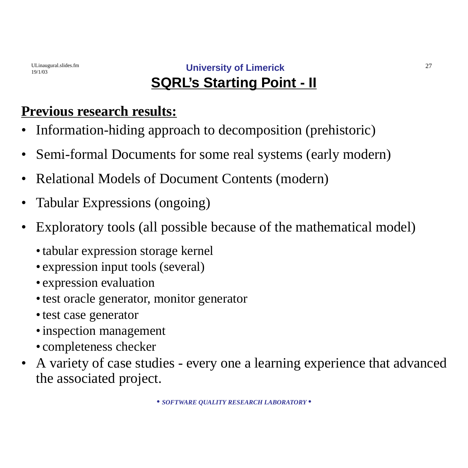### ULinaugural.slides.fm **University of Limerick** 27 **SQRL's Starting Point - II**

# **Previous research results:**

- Information-hiding approach to decomposition (prehistoric)
- Semi-formal Documents for some real systems (early modern)
- Relational Models of Document Contents (modern)
- Tabular Expressions (ongoing)
- Exploratory tools (all possible because of the mathematical model)
	- •tabular expression storage kernel
	- expression input tools (several)
	- expression evaluation
	- test oracle generator, monitor generator
	- •test case generator
	- •inspection management
	- completeness checker
- A variety of case studies every one a learning experience that advanced the associated project.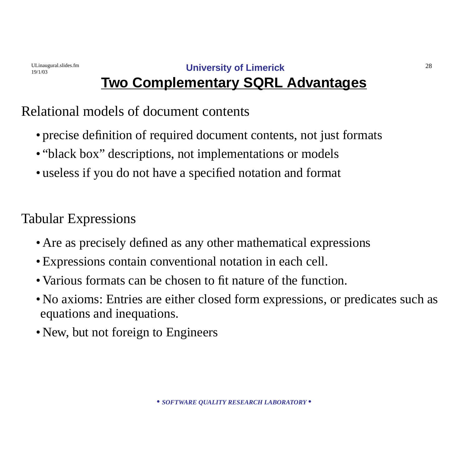19/1/03

# **Two Complementary SQRL Advantages**

### Relational models of document contents

- precise definition of required document contents, not just formats
- "black box" descriptions, not implementations or models
- useless if you do not have a specified notation and format

Tabular Expressions

- •Are as precisely defined as any other mathematical expressions
- •Expressions contain conventional notation in each cell.
- Various formats can be chosen to fit nature of the function.
- •No axioms: Entries are either closed form expressions, or predicates such as equations and inequations.
- New, but not foreign to Engineers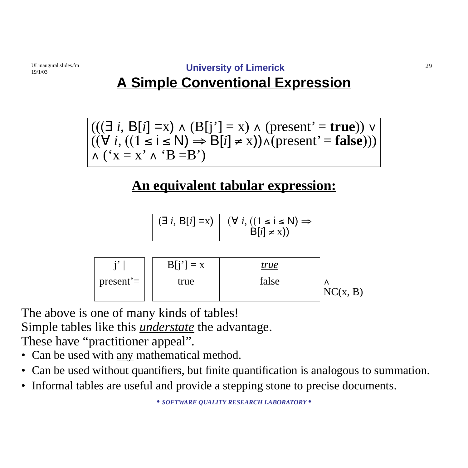# **A Simple Conventional Expression**

$$
(((\exists i, B[i] = x) \land (B[j'] = x) \land (present' = true)) \lor ((\forall i, ((1 \le i \le N) \Rightarrow B[i] \ne x)) \land (present' = false)))
$$
  
 
$$
\land (\forall x = x' \land 'B = B')
$$

# **An equivalent tabular expression:**

$$
\begin{array}{|c|c|c|c|}\n\hline\n\text{(exists i, B[i] = x)} & (\forall i, ((1 \le i \le N)) \Rightarrow \\
& \text{B}[i] \neq x))\n\end{array}
$$

|                           | $B[i'] = x$ | <u>true</u> |          |
|---------------------------|-------------|-------------|----------|
| ' present'= $\frac{1}{1}$ | true        | false       | NC(x, B) |

The above is one of many kinds of tables! Simple tables like this *understate* the advantage. These have "practitioner appeal".

- Can be used with any mathematical method.
- Can be used without quantifiers, but finite quantification is analogous to summation.
- Informal tables are useful and provide a stepping stone to precise documents.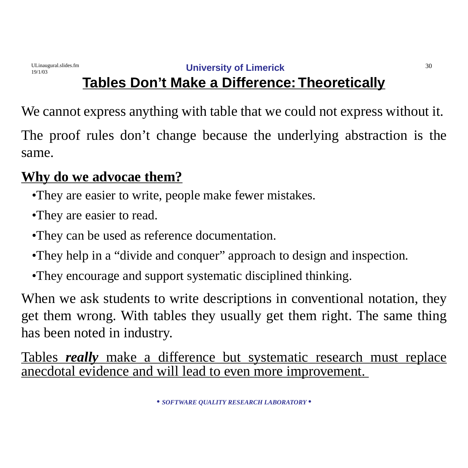# **Tables Don't Make a Difference:Theoretically**

We cannot express anything with table that we could not express without it.

The proof rules don't change because the underlying abstraction is the same.

# **Why do we advocae them?**

- •They are easier to write, people make fewer mistakes.
- •They are easier to read.
- •They can be used as reference documentation.
- •They help in a "divide and conquer" approach to design and inspection.
- •They encourage and support systematic disciplined thinking.

When we ask students to write descriptions in conventional notation, they get them wrong. With tables they usually get them right. The same thing has been noted in industry.

Tables *really* make a difference but systematic research must replace anecdotal evidence and will lead to even more improvement.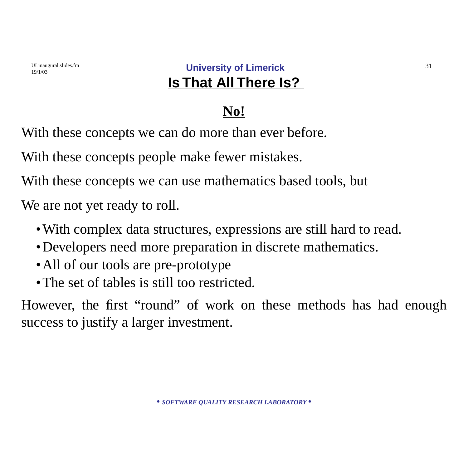### ULinaugural.slides.fm **University of Limerick** 31 **Is That All There Is?**

### **No!**

With these concepts we can do more than ever before.

With these concepts people make fewer mistakes.

With these concepts we can use mathematics based tools, but

We are not yet ready to roll.

- With complex data structures, expressions are still hard to read.
- •Developers need more preparation in discrete mathematics.
- All of our tools are pre-prototype
- The set of tables is still too restricted.

However, the first "round" of work on these methods has had enough success to justify a larger investment.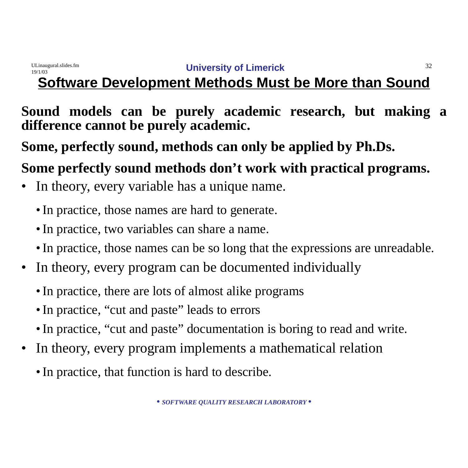# **Software Development Methods Must be More than Sound**

### **Sound models can be purely academic research, but making a difference cannot be purely academic.**

**Some, perfectly sound, methods can only be applied by Ph.Ds.**

# **Some perfectly sound methods don't work with practical programs.**

- In theory, every variable has a unique name.
	- •In practice, those names are hard to generate.
	- •In practice, two variables can share a name.
	- In practice, those names can be so long that the expressions are unreadable.
- In theory, every program can be documented individually
	- In practice, there are lots of almost alike programs
	- In practice, "cut and paste" leads to errors
	- In practice, "cut and paste" documentation is boring to read and write.
- In theory, every program implements a mathematical relation
	- In practice, that function is hard to describe.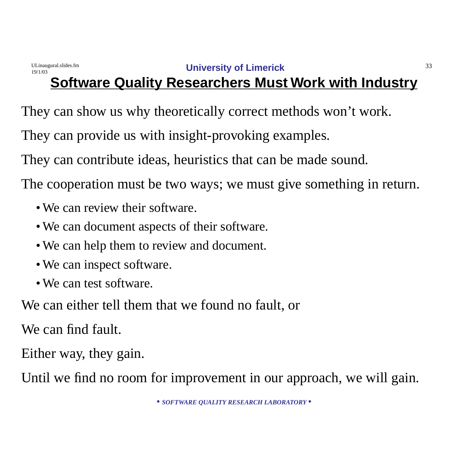# **Software Quality Researchers Must Work with Industry**

They can show us why theoretically correct methods won't work.

They can provide us with insight-provoking examples.

They can contribute ideas, heuristics that can be made sound.

The cooperation must be two ways; we must give something in return.

- We can review their software.
- We can document aspects of their software.
- We can help them to review and document.
- We can inspect software.
- We can test software.

We can either tell them that we found no fault, or

We can find fault.

Either way, they gain.

Until we find no room for improvement in our approach, we will gain.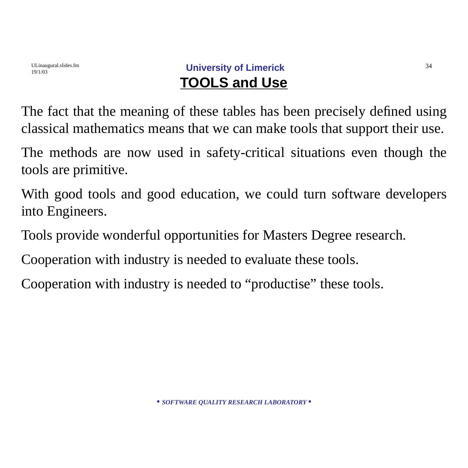### ULinaugural.slides.fm **University of Limerick** 34 **TOOLS and Use**

The fact that the meaning of these tables has been precisely defined using classical mathematics means that we can make tools that support their use.

The methods are now used in safety-critical situations even though the tools are primitive.

With good tools and good education, we could turn software developers into Engineers.

Tools provide wonderful opportunities for Masters Degree research.

Cooperation with industry is needed to evaluate these tools.

Cooperation with industry is needed to "productise" these tools.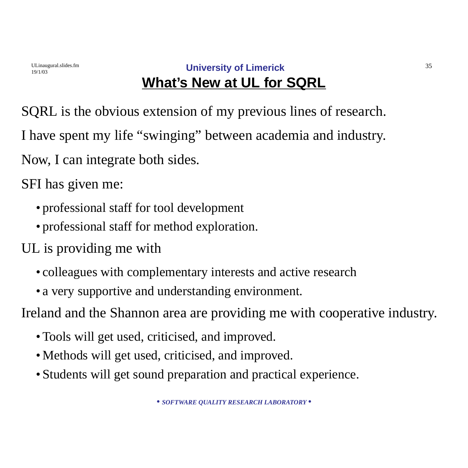### ULinaugural.slides.fm **University of Limerick** 35 **What's New at UL for SQRL**

SQRL is the obvious extension of my previous lines of research. I have spent my life "swinging" between academia and industry. Now, I can integrate both sides.

SFI has given me:

- professional staff for tool development
- professional staff for method exploration.
- UL is providing me with
	- colleagues with complementary interests and active research
	- a very supportive and understanding environment.

Ireland and the Shannon area are providing me with cooperative industry.

- Tools will get used, criticised, and improved.
- Methods will get used, criticised, and improved.
- Students will get sound preparation and practical experience.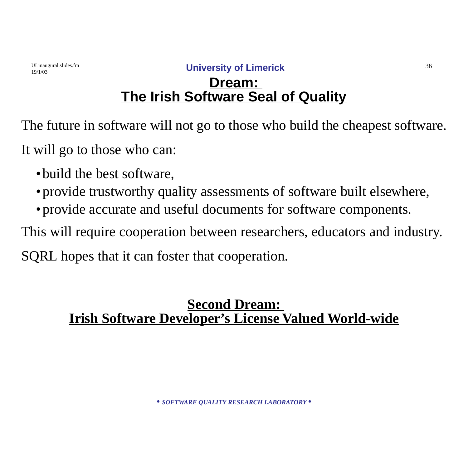### **Dream: The Irish Software Seal of Quality**

The future in software will not go to those who build the cheapest software. It will go to those who can:

- build the best software,
- provide trustworthy quality assessments of software built elsewhere,
- •provide accurate and useful documents for software components.

This will require cooperation between researchers, educators and industry.

SQRL hopes that it can foster that cooperation.

### **Second Dream: Irish Software Developer's License Valued World-wide**